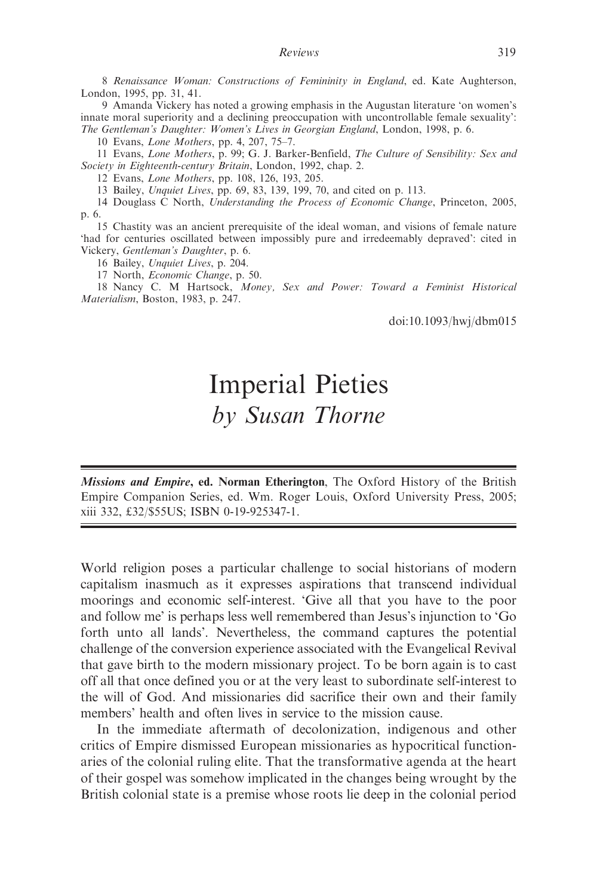Reviews 319

8 Renaissance Woman: Constructions of Femininity in England, ed. Kate Aughterson, London, 1995, pp. 31, 41.

9 Amanda Vickery has noted a growing emphasis in the Augustan literature 'on women's innate moral superiority and a declining preoccupation with uncontrollable female sexuality': The Gentleman's Daughter: Women's Lives in Georgian England, London, 1998, p. 6.

10 Evans, Lone Mothers, pp. 4, 207, 75–7.

11 Evans, Lone Mothers, p. 99; G. J. Barker-Benfield, The Culture of Sensibility: Sex and Society in Eighteenth-century Britain, London, 1992, chap. 2.

12 Evans, Lone Mothers, pp. 108, 126, 193, 205.

13 Bailey, Unquiet Lives, pp. 69, 83, 139, 199, 70, and cited on p. 113.

14 Douglass C North, Understanding the Process of Economic Change, Princeton, 2005, p. 6.

15 Chastity was an ancient prerequisite of the ideal woman, and visions of female nature 'had for centuries oscillated between impossibly pure and irredeemably depraved': cited in Vickery, Gentleman's Daughter, p. 6.

16 Bailey, Unquiet Lives, p. 204.

17 North, Economic Change, p. 50.

18 Nancy C. M Hartsock, Money, Sex and Power: Toward a Feminist Historical Materialism, Boston, 1983, p. 247.

doi:10.1093/hwj/dbm015

## Imperial Pieties by Susan Thorne

Missions and Empire, ed. Norman Etherington, The Oxford History of the British Empire Companion Series, ed. Wm. Roger Louis, Oxford University Press, 2005; xiii 332, £32/\$55US; ISBN 0-19-925347-1.

World religion poses a particular challenge to social historians of modern capitalism inasmuch as it expresses aspirations that transcend individual moorings and economic self-interest. 'Give all that you have to the poor and follow me' is perhaps less well remembered than Jesus's injunction to 'Go forth unto all lands'. Nevertheless, the command captures the potential challenge of the conversion experience associated with the Evangelical Revival that gave birth to the modern missionary project. To be born again is to cast off all that once defined you or at the very least to subordinate self-interest to the will of God. And missionaries did sacrifice their own and their family members' health and often lives in service to the mission cause.

In the immediate aftermath of decolonization, indigenous and other critics of Empire dismissed European missionaries as hypocritical functionaries of the colonial ruling elite. That the transformative agenda at the heart of their gospel was somehow implicated in the changes being wrought by the British colonial state is a premise whose roots lie deep in the colonial period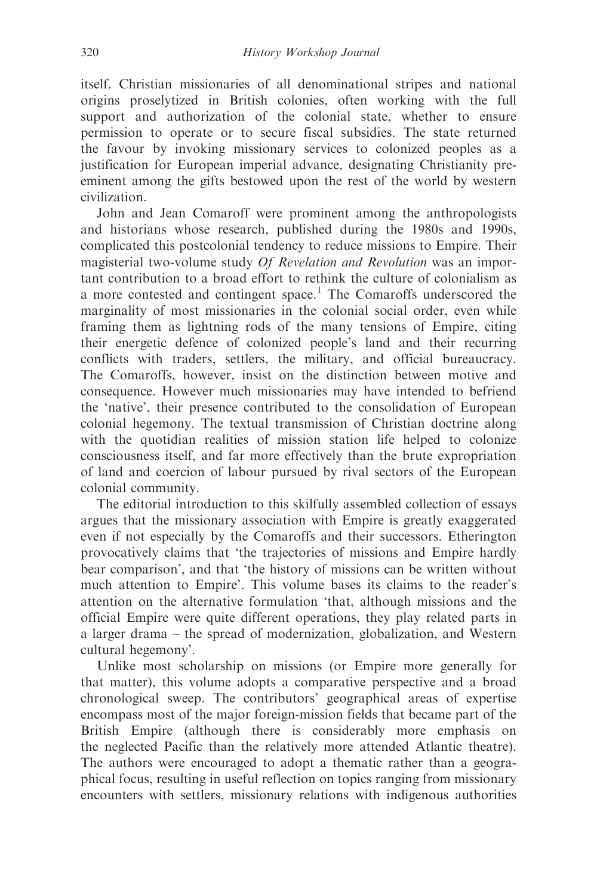itself. Christian missionaries of all denominational stripes and national origins proselytized in British colonies, often working with the full support and authorization of the colonial state, whether to ensure permission to operate or to secure fiscal subsidies. The state returned the favour by invoking missionary services to colonized peoples as a justification for European imperial advance, designating Christianity preeminent among the gifts bestowed upon the rest of the world by western civilization.

John and Jean Comaroff were prominent among the anthropologists and historians whose research, published during the 1980s and 1990s, complicated this postcolonial tendency to reduce missions to Empire. Their magisterial two-volume study Of Revelation and Revolution was an important contribution to a broad effort to rethink the culture of colonialism as a more contested and contingent space.<sup>1</sup> The Comaroffs underscored the marginality of most missionaries in the colonial social order, even while framing them as lightning rods of the many tensions of Empire, citing their energetic defence of colonized people's land and their recurring conflicts with traders, settlers, the military, and official bureaucracy. The Comaroffs, however, insist on the distinction between motive and consequence. However much missionaries may have intended to befriend the 'native', their presence contributed to the consolidation of European colonial hegemony. The textual transmission of Christian doctrine along with the quotidian realities of mission station life helped to colonize consciousness itself, and far more effectively than the brute expropriation of land and coercion of labour pursued by rival sectors of the European colonial community.

The editorial introduction to this skilfully assembled collection of essays argues that the missionary association with Empire is greatly exaggerated even if not especially by the Comaroffs and their successors. Etherington provocatively claims that 'the trajectories of missions and Empire hardly bear comparison', and that 'the history of missions can be written without much attention to Empire'. This volume bases its claims to the reader's attention on the alternative formulation 'that, although missions and the official Empire were quite different operations, they play related parts in a larger drama – the spread of modernization, globalization, and Western cultural hegemony'.

Unlike most scholarship on missions (or Empire more generally for that matter), this volume adopts a comparative perspective and a broad chronological sweep. The contributors' geographical areas of expertise encompass most of the major foreign-mission fields that became part of the British Empire (although there is considerably more emphasis on the neglected Pacific than the relatively more attended Atlantic theatre). The authors were encouraged to adopt a thematic rather than a geographical focus, resulting in useful reflection on topics ranging from missionary encounters with settlers, missionary relations with indigenous authorities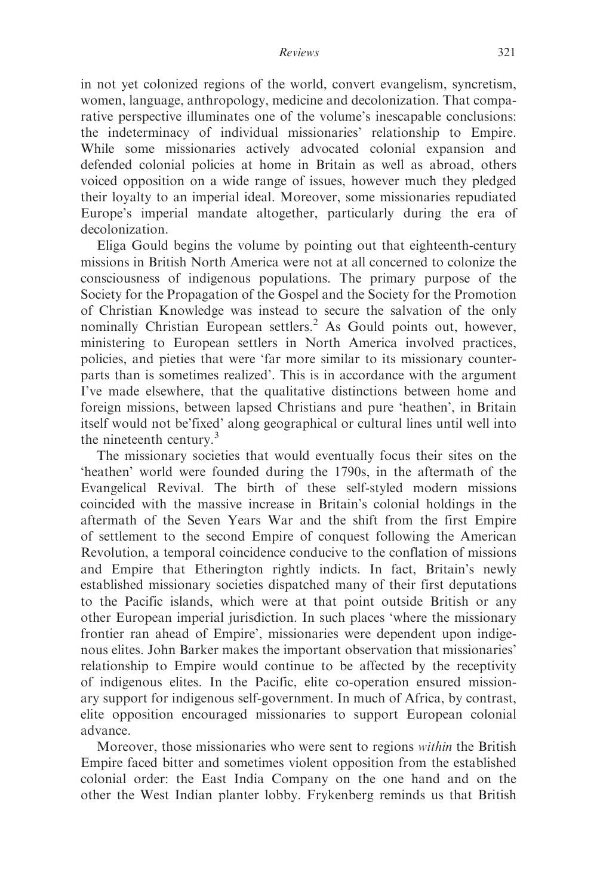in not yet colonized regions of the world, convert evangelism, syncretism, women, language, anthropology, medicine and decolonization. That comparative perspective illuminates one of the volume's inescapable conclusions: the indeterminacy of individual missionaries' relationship to Empire. While some missionaries actively advocated colonial expansion and defended colonial policies at home in Britain as well as abroad, others voiced opposition on a wide range of issues, however much they pledged their loyalty to an imperial ideal. Moreover, some missionaries repudiated Europe's imperial mandate altogether, particularly during the era of decolonization.

Eliga Gould begins the volume by pointing out that eighteenth-century missions in British North America were not at all concerned to colonize the consciousness of indigenous populations. The primary purpose of the Society for the Propagation of the Gospel and the Society for the Promotion of Christian Knowledge was instead to secure the salvation of the only nominally Christian European settlers.<sup>2</sup> As Gould points out, however, ministering to European settlers in North America involved practices, policies, and pieties that were 'far more similar to its missionary counterparts than is sometimes realized'. This is in accordance with the argument I've made elsewhere, that the qualitative distinctions between home and foreign missions, between lapsed Christians and pure 'heathen', in Britain itself would not be'fixed' along geographical or cultural lines until well into the nineteenth century.<sup>3</sup>

The missionary societies that would eventually focus their sites on the 'heathen' world were founded during the 1790s, in the aftermath of the Evangelical Revival. The birth of these self-styled modern missions coincided with the massive increase in Britain's colonial holdings in the aftermath of the Seven Years War and the shift from the first Empire of settlement to the second Empire of conquest following the American Revolution, a temporal coincidence conducive to the conflation of missions and Empire that Etherington rightly indicts. In fact, Britain's newly established missionary societies dispatched many of their first deputations to the Pacific islands, which were at that point outside British or any other European imperial jurisdiction. In such places 'where the missionary frontier ran ahead of Empire', missionaries were dependent upon indigenous elites. John Barker makes the important observation that missionaries' relationship to Empire would continue to be affected by the receptivity of indigenous elites. In the Pacific, elite co-operation ensured missionary support for indigenous self-government. In much of Africa, by contrast, elite opposition encouraged missionaries to support European colonial advance.

Moreover, those missionaries who were sent to regions within the British Empire faced bitter and sometimes violent opposition from the established colonial order: the East India Company on the one hand and on the other the West Indian planter lobby. Frykenberg reminds us that British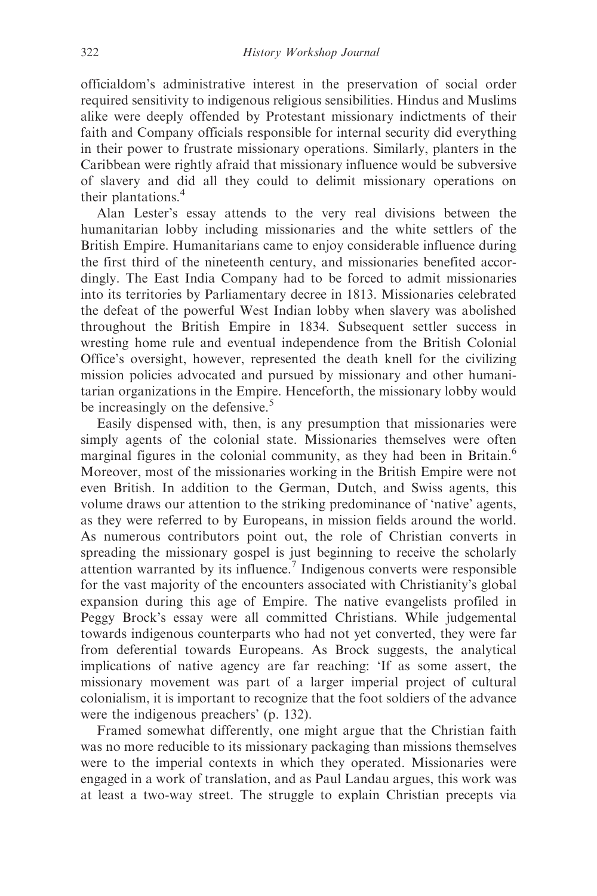officialdom's administrative interest in the preservation of social order required sensitivity to indigenous religious sensibilities. Hindus and Muslims alike were deeply offended by Protestant missionary indictments of their faith and Company officials responsible for internal security did everything in their power to frustrate missionary operations. Similarly, planters in the Caribbean were rightly afraid that missionary influence would be subversive of slavery and did all they could to delimit missionary operations on their plantations.<sup>4</sup>

Alan Lester's essay attends to the very real divisions between the humanitarian lobby including missionaries and the white settlers of the British Empire. Humanitarians came to enjoy considerable influence during the first third of the nineteenth century, and missionaries benefited accordingly. The East India Company had to be forced to admit missionaries into its territories by Parliamentary decree in 1813. Missionaries celebrated the defeat of the powerful West Indian lobby when slavery was abolished throughout the British Empire in 1834. Subsequent settler success in wresting home rule and eventual independence from the British Colonial Office's oversight, however, represented the death knell for the civilizing mission policies advocated and pursued by missionary and other humanitarian organizations in the Empire. Henceforth, the missionary lobby would be increasingly on the defensive.<sup>5</sup>

Easily dispensed with, then, is any presumption that missionaries were simply agents of the colonial state. Missionaries themselves were often marginal figures in the colonial community, as they had been in Britain.<sup>6</sup> Moreover, most of the missionaries working in the British Empire were not even British. In addition to the German, Dutch, and Swiss agents, this volume draws our attention to the striking predominance of 'native' agents, as they were referred to by Europeans, in mission fields around the world. As numerous contributors point out, the role of Christian converts in spreading the missionary gospel is just beginning to receive the scholarly attention warranted by its influence.<sup>7</sup> Indigenous converts were responsible for the vast majority of the encounters associated with Christianity's global expansion during this age of Empire. The native evangelists profiled in Peggy Brock's essay were all committed Christians. While judgemental towards indigenous counterparts who had not yet converted, they were far from deferential towards Europeans. As Brock suggests, the analytical implications of native agency are far reaching: 'If as some assert, the missionary movement was part of a larger imperial project of cultural colonialism, it is important to recognize that the foot soldiers of the advance were the indigenous preachers' (p. 132).

Framed somewhat differently, one might argue that the Christian faith was no more reducible to its missionary packaging than missions themselves were to the imperial contexts in which they operated. Missionaries were engaged in a work of translation, and as Paul Landau argues, this work was at least a two-way street. The struggle to explain Christian precepts via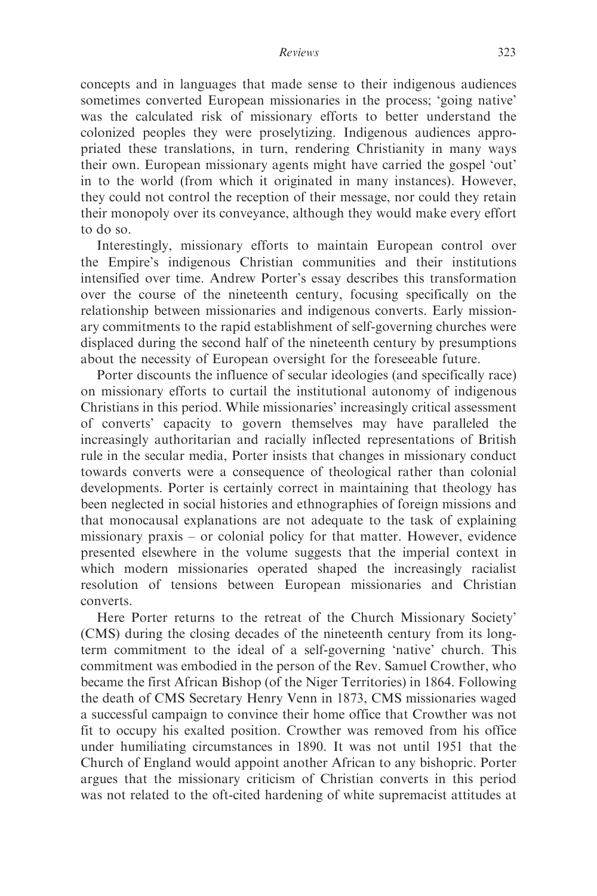concepts and in languages that made sense to their indigenous audiences sometimes converted European missionaries in the process; 'going native' was the calculated risk of missionary efforts to better understand the colonized peoples they were proselytizing. Indigenous audiences appropriated these translations, in turn, rendering Christianity in many ways their own. European missionary agents might have carried the gospel 'out' in to the world (from which it originated in many instances). However, they could not control the reception of their message, nor could they retain their monopoly over its conveyance, although they would make every effort to do so.

Interestingly, missionary efforts to maintain European control over the Empire's indigenous Christian communities and their institutions intensified over time. Andrew Porter's essay describes this transformation over the course of the nineteenth century, focusing specifically on the relationship between missionaries and indigenous converts. Early missionary commitments to the rapid establishment of self-governing churches were displaced during the second half of the nineteenth century by presumptions about the necessity of European oversight for the foreseeable future.

Porter discounts the influence of secular ideologies (and specifically race) on missionary efforts to curtail the institutional autonomy of indigenous Christians in this period. While missionaries' increasingly critical assessment of converts' capacity to govern themselves may have paralleled the increasingly authoritarian and racially inflected representations of British rule in the secular media, Porter insists that changes in missionary conduct towards converts were a consequence of theological rather than colonial developments. Porter is certainly correct in maintaining that theology has been neglected in social histories and ethnographies of foreign missions and that monocausal explanations are not adequate to the task of explaining missionary praxis – or colonial policy for that matter. However, evidence presented elsewhere in the volume suggests that the imperial context in which modern missionaries operated shaped the increasingly racialist resolution of tensions between European missionaries and Christian converts.

Here Porter returns to the retreat of the Church Missionary Society' (CMS) during the closing decades of the nineteenth century from its longterm commitment to the ideal of a self-governing 'native' church. This commitment was embodied in the person of the Rev. Samuel Crowther, who became the first African Bishop (of the Niger Territories) in 1864. Following the death of CMS Secretary Henry Venn in 1873, CMS missionaries waged a successful campaign to convince their home office that Crowther was not fit to occupy his exalted position. Crowther was removed from his office under humiliating circumstances in 1890. It was not until 1951 that the Church of England would appoint another African to any bishopric. Porter argues that the missionary criticism of Christian converts in this period was not related to the oft-cited hardening of white supremacist attitudes at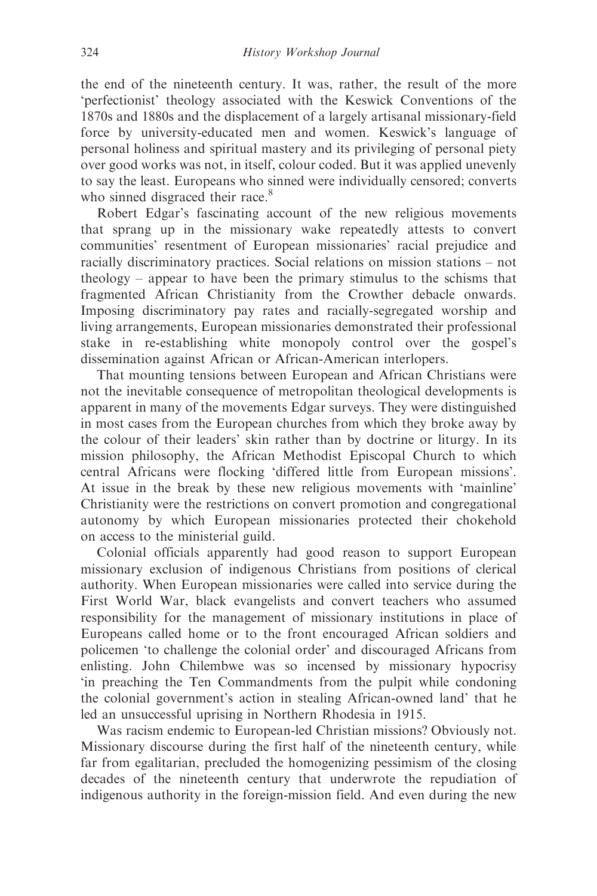the end of the nineteenth century. It was, rather, the result of the more 'perfectionist' theology associated with the Keswick Conventions of the 1870s and 1880s and the displacement of a largely artisanal missionary-field force by university-educated men and women. Keswick's language of personal holiness and spiritual mastery and its privileging of personal piety over good works was not, in itself, colour coded. But it was applied unevenly to say the least. Europeans who sinned were individually censored; converts who sinned disgraced their race.<sup>8</sup>

Robert Edgar's fascinating account of the new religious movements that sprang up in the missionary wake repeatedly attests to convert communities' resentment of European missionaries' racial prejudice and racially discriminatory practices. Social relations on mission stations – not theology – appear to have been the primary stimulus to the schisms that fragmented African Christianity from the Crowther debacle onwards. Imposing discriminatory pay rates and racially-segregated worship and living arrangements, European missionaries demonstrated their professional stake in re-establishing white monopoly control over the gospel's dissemination against African or African-American interlopers.

That mounting tensions between European and African Christians were not the inevitable consequence of metropolitan theological developments is apparent in many of the movements Edgar surveys. They were distinguished in most cases from the European churches from which they broke away by the colour of their leaders' skin rather than by doctrine or liturgy. In its mission philosophy, the African Methodist Episcopal Church to which central Africans were flocking 'differed little from European missions'. At issue in the break by these new religious movements with 'mainline' Christianity were the restrictions on convert promotion and congregational autonomy by which European missionaries protected their chokehold on access to the ministerial guild.

Colonial officials apparently had good reason to support European missionary exclusion of indigenous Christians from positions of clerical authority. When European missionaries were called into service during the First World War, black evangelists and convert teachers who assumed responsibility for the management of missionary institutions in place of Europeans called home or to the front encouraged African soldiers and policemen 'to challenge the colonial order' and discouraged Africans from enlisting. John Chilembwe was so incensed by missionary hypocrisy 'in preaching the Ten Commandments from the pulpit while condoning the colonial government's action in stealing African-owned land' that he led an unsuccessful uprising in Northern Rhodesia in 1915.

Was racism endemic to European-led Christian missions? Obviously not. Missionary discourse during the first half of the nineteenth century, while far from egalitarian, precluded the homogenizing pessimism of the closing decades of the nineteenth century that underwrote the repudiation of indigenous authority in the foreign-mission field. And even during the new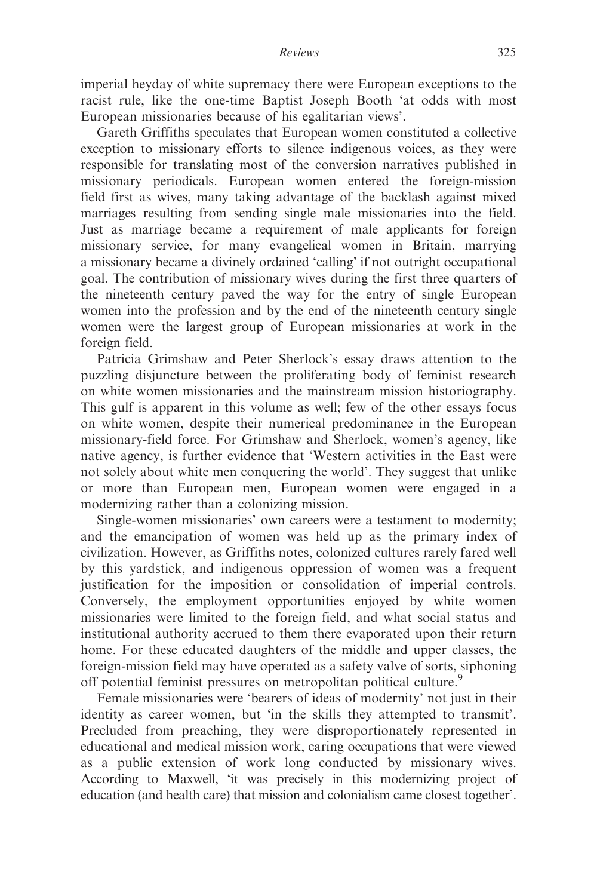imperial heyday of white supremacy there were European exceptions to the racist rule, like the one-time Baptist Joseph Booth 'at odds with most European missionaries because of his egalitarian views'.

Gareth Griffiths speculates that European women constituted a collective exception to missionary efforts to silence indigenous voices, as they were responsible for translating most of the conversion narratives published in missionary periodicals. European women entered the foreign-mission field first as wives, many taking advantage of the backlash against mixed marriages resulting from sending single male missionaries into the field. Just as marriage became a requirement of male applicants for foreign missionary service, for many evangelical women in Britain, marrying a missionary became a divinely ordained 'calling' if not outright occupational goal. The contribution of missionary wives during the first three quarters of the nineteenth century paved the way for the entry of single European women into the profession and by the end of the nineteenth century single women were the largest group of European missionaries at work in the foreign field.

Patricia Grimshaw and Peter Sherlock's essay draws attention to the puzzling disjuncture between the proliferating body of feminist research on white women missionaries and the mainstream mission historiography. This gulf is apparent in this volume as well; few of the other essays focus on white women, despite their numerical predominance in the European missionary-field force. For Grimshaw and Sherlock, women's agency, like native agency, is further evidence that 'Western activities in the East were not solely about white men conquering the world'. They suggest that unlike or more than European men, European women were engaged in a modernizing rather than a colonizing mission.

Single-women missionaries' own careers were a testament to modernity; and the emancipation of women was held up as the primary index of civilization. However, as Griffiths notes, colonized cultures rarely fared well by this yardstick, and indigenous oppression of women was a frequent justification for the imposition or consolidation of imperial controls. Conversely, the employment opportunities enjoyed by white women missionaries were limited to the foreign field, and what social status and institutional authority accrued to them there evaporated upon their return home. For these educated daughters of the middle and upper classes, the foreign-mission field may have operated as a safety valve of sorts, siphoning off potential feminist pressures on metropolitan political culture.<sup>9</sup>

Female missionaries were 'bearers of ideas of modernity' not just in their identity as career women, but 'in the skills they attempted to transmit'. Precluded from preaching, they were disproportionately represented in educational and medical mission work, caring occupations that were viewed as a public extension of work long conducted by missionary wives. According to Maxwell, 'it was precisely in this modernizing project of education (and health care) that mission and colonialism came closest together'.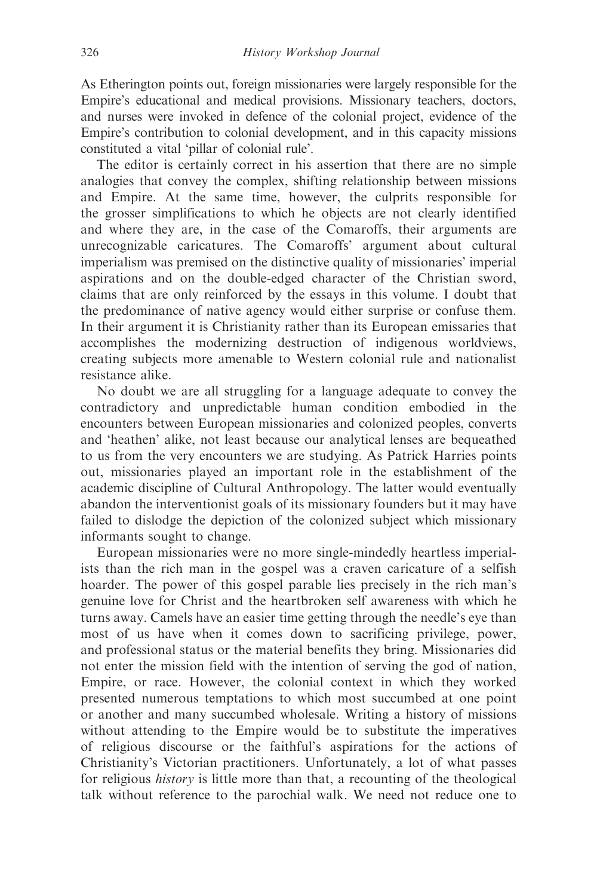As Etherington points out, foreign missionaries were largely responsible for the Empire's educational and medical provisions. Missionary teachers, doctors, and nurses were invoked in defence of the colonial project, evidence of the Empire's contribution to colonial development, and in this capacity missions constituted a vital 'pillar of colonial rule'.

The editor is certainly correct in his assertion that there are no simple analogies that convey the complex, shifting relationship between missions and Empire. At the same time, however, the culprits responsible for the grosser simplifications to which he objects are not clearly identified and where they are, in the case of the Comaroffs, their arguments are unrecognizable caricatures. The Comaroffs' argument about cultural imperialism was premised on the distinctive quality of missionaries' imperial aspirations and on the double-edged character of the Christian sword, claims that are only reinforced by the essays in this volume. I doubt that the predominance of native agency would either surprise or confuse them. In their argument it is Christianity rather than its European emissaries that accomplishes the modernizing destruction of indigenous worldviews, creating subjects more amenable to Western colonial rule and nationalist resistance alike.

No doubt we are all struggling for a language adequate to convey the contradictory and unpredictable human condition embodied in the encounters between European missionaries and colonized peoples, converts and 'heathen' alike, not least because our analytical lenses are bequeathed to us from the very encounters we are studying. As Patrick Harries points out, missionaries played an important role in the establishment of the academic discipline of Cultural Anthropology. The latter would eventually abandon the interventionist goals of its missionary founders but it may have failed to dislodge the depiction of the colonized subject which missionary informants sought to change.

European missionaries were no more single-mindedly heartless imperialists than the rich man in the gospel was a craven caricature of a selfish hoarder. The power of this gospel parable lies precisely in the rich man's genuine love for Christ and the heartbroken self awareness with which he turns away. Camels have an easier time getting through the needle's eye than most of us have when it comes down to sacrificing privilege, power, and professional status or the material benefits they bring. Missionaries did not enter the mission field with the intention of serving the god of nation, Empire, or race. However, the colonial context in which they worked presented numerous temptations to which most succumbed at one point or another and many succumbed wholesale. Writing a history of missions without attending to the Empire would be to substitute the imperatives of religious discourse or the faithful's aspirations for the actions of Christianity's Victorian practitioners. Unfortunately, a lot of what passes for religious history is little more than that, a recounting of the theological talk without reference to the parochial walk. We need not reduce one to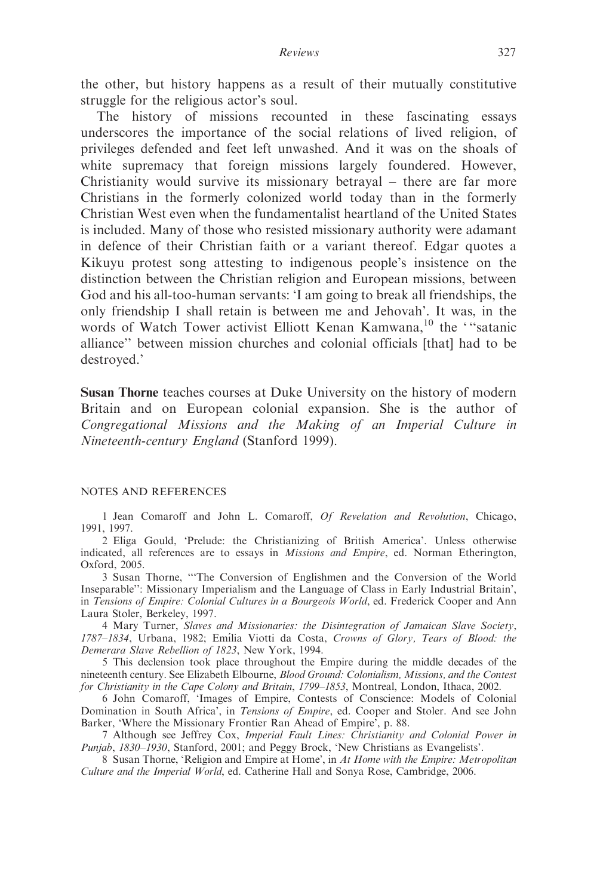the other, but history happens as a result of their mutually constitutive struggle for the religious actor's soul.

The history of missions recounted in these fascinating essays underscores the importance of the social relations of lived religion, of privileges defended and feet left unwashed. And it was on the shoals of white supremacy that foreign missions largely foundered. However, Christianity would survive its missionary betrayal – there are far more Christians in the formerly colonized world today than in the formerly Christian West even when the fundamentalist heartland of the United States is included. Many of those who resisted missionary authority were adamant in defence of their Christian faith or a variant thereof. Edgar quotes a Kikuyu protest song attesting to indigenous people's insistence on the distinction between the Christian religion and European missions, between God and his all-too-human servants: 'I am going to break all friendships, the only friendship I shall retain is between me and Jehovah'. It was, in the words of Watch Tower activist Elliott Kenan Kamwana,<sup>10</sup> the "satanic alliance'' between mission churches and colonial officials [that] had to be destroyed.'

Susan Thorne teaches courses at Duke University on the history of modern Britain and on European colonial expansion. She is the author of Congregational Missions and the Making of an Imperial Culture in Nineteenth-century England (Stanford 1999).

## NOTES AND REFERENCES

1 Jean Comaroff and John L. Comaroff, Of Revelation and Revolution, Chicago, 1991, 1997.

2 Eliga Gould, 'Prelude: the Christianizing of British America'. Unless otherwise indicated, all references are to essays in Missions and Empire, ed. Norman Etherington, Oxford, 2005.

3 Susan Thorne, '''The Conversion of Englishmen and the Conversion of the World Inseparable'': Missionary Imperialism and the Language of Class in Early Industrial Britain', in Tensions of Empire: Colonial Cultures in a Bourgeois World, ed. Frederick Cooper and Ann Laura Stoler, Berkeley, 1997.

4 Mary Turner, Slaves and Missionaries: the Disintegration of Jamaican Slave Society, 1787-1834, Urbana, 1982; Emília Viotti da Costa, Crowns of Glory, Tears of Blood: the Demerara Slave Rebellion of 1823, New York, 1994.

5 This declension took place throughout the Empire during the middle decades of the nineteenth century. See Elizabeth Elbourne, Blood Ground: Colonialism, Missions, and the Contest for Christianity in the Cape Colony and Britain, 1799–1853, Montreal, London, Ithaca, 2002.

6 John Comaroff, 'Images of Empire, Contests of Conscience: Models of Colonial Domination in South Africa', in Tensions of Empire, ed. Cooper and Stoler. And see John Barker, 'Where the Missionary Frontier Ran Ahead of Empire', p. 88.

7 Although see Jeffrey Cox, Imperial Fault Lines: Christianity and Colonial Power in Punjab, 1830–1930, Stanford, 2001; and Peggy Brock, 'New Christians as Evangelists'.

8 Susan Thorne, 'Religion and Empire at Home', in At Home with the Empire: Metropolitan Culture and the Imperial World, ed. Catherine Hall and Sonya Rose, Cambridge, 2006.